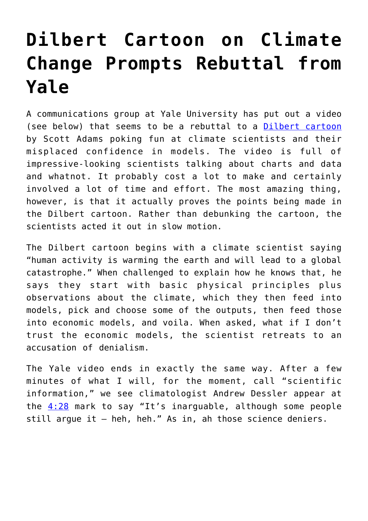## **[Dilbert Cartoon on Climate](https://intellectualtakeout.org/2017/05/dilbert-cartoon-on-climate-change-prompts-rebuttal-from-yale/) [Change Prompts Rebuttal from](https://intellectualtakeout.org/2017/05/dilbert-cartoon-on-climate-change-prompts-rebuttal-from-yale/) [Yale](https://intellectualtakeout.org/2017/05/dilbert-cartoon-on-climate-change-prompts-rebuttal-from-yale/)**

A communications group at Yale University has put out a video (see below) that seems to be a rebuttal to a [Dilbert cartoon](http://dilbert.com/strip/2017-05-14) by Scott Adams poking fun at climate scientists and their misplaced confidence in models. The video is full of impressive-looking scientists talking about charts and data and whatnot. It probably cost a lot to make and certainly involved a lot of time and effort. The most amazing thing, however, is that it actually proves the points being made in the Dilbert cartoon. Rather than debunking the cartoon, the scientists acted it out in slow motion.

The Dilbert cartoon begins with a climate scientist saying "human activity is warming the earth and will lead to a global catastrophe." When challenged to explain how he knows that, he says they start with basic physical principles plus observations about the climate, which they then feed into models, pick and choose some of the outputs, then feed those into economic models, and voila. When asked, what if I don't trust the economic models, the scientist retreats to an accusation of denialism.

The Yale video ends in exactly the same way. After a few minutes of what I will, for the moment, call "scientific information," we see climatologist Andrew Dessler appear at the  $4:28$  mark to say "It's inarguable, although some people still argue it – heh, heh." As in, ah those science deniers.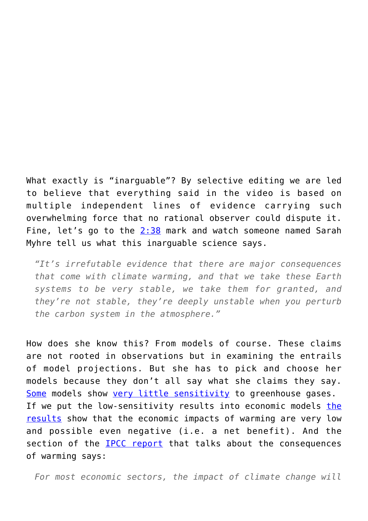What exactly is "inarguable"? By selective editing we are led to believe that everything said in the video is based on multiple independent lines of evidence carrying such overwhelming force that no rational observer could dispute it. Fine, let's go to the [2:38](https://youtu.be/ZY-pO_zTVvU?t=158) mark and watch someone named Sarah Myhre tell us what this inarguable science says.

*"It's irrefutable evidence that there are major consequences that come with climate warming, and that we take these Earth systems to be very stable, we take them for granted, and they're not stable, they're deeply unstable when you perturb the carbon system in the atmosphere."*

How does she know this? From models of course. These claims are not rooted in observations but in examining the entrails of model projections. But she has to pick and choose her models because they don't all say what she claims they say. [Some](http://www.sciencemag.org/news/2016/05/earth-s-climate-may-not-warm-quickly-expected-suggest-new-cloud-studies) models show [very little sensitivity](https://link.springer.com/article/10.1007/s00382-014-2342-y) to greenhouse gases. If we put [the](http://www.worldscientific.com/doi/abs/10.1142/S2010007817500063) low-sensitivity results into economic models the [results](http://www.worldscientific.com/doi/abs/10.1142/S2010007817500063) show that the economic impacts of warming are very low and possible even negative (i.e. a net benefit). And the section of the **IPCC** report that talks about the consequences of warming says:

*For most economic sectors, the impact of climate change will*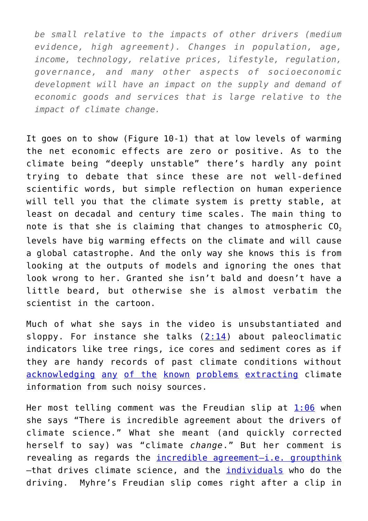*be small relative to the impacts of other drivers (medium evidence, high agreement). Changes in population, age, income, technology, relative prices, lifestyle, regulation, governance, and many other aspects of socioeconomic development will have an impact on the supply and demand of economic goods and services that is large relative to the impact of climate change.*

It goes on to show (Figure 10-1) that at low levels of warming the net economic effects are zero or positive. As to the climate being "deeply unstable" there's hardly any point trying to debate that since these are not well-defined scientific words, but simple reflection on human experience will tell you that the climate system is pretty stable, at least on decadal and century time scales. The main thing to note is that she is claiming that changes to atmospheric  $CO<sub>2</sub>$ levels have big warming effects on the climate and will cause a global catastrophe. And the only way she knows this is from looking at the outputs of models and ignoring the ones that look wrong to her. Granted she isn't bald and doesn't have a little beard, but otherwise she is almost verbatim the scientist in the cartoon.

Much of what she says in the video is unsubstantiated and sloppy. For instance she talks  $(2:14)$  $(2:14)$  $(2:14)$  about paleoclimatic indicators like tree rings, ice cores and sediment cores as if they are handy records of past climate conditions without [acknowledging](http://www.jstor.org/stable/23024808) [any](http://www.econ.ohio-state.edu/jhm/AGW/Thompson6/Thompson6Calib.pdf) [of the](http://www.pnas.org/content/106/6/E10.full) [known](http://climateaudit.files.wordpress.com/2009/12/mcintyre-grl-2005.pdf) [problems](https://climateaudit.org/2006/06/22/nas-panel-report/) [extracting](https://climateaudit.org/2009/09/03/kaufmann-and-upside-down-mann/) climate information from such noisy sources.

Her most telling comment was the Freudian slip at  $1:06$  when she says "There is incredible agreement about the drivers of climate science." What she meant (and quickly corrected herself to say) was "climate *change*." But her comment is revealing as regards the [incredible agreement—i.e. groupthink](https://judithcurry.com/2017/01/03/jc-in-transition/) –that drives climate science, and the [individuals](https://climateaudit.org/2011/05/23/climategate-documents-confirm-wegmans-hypothesis/) who do the driving. Myhre's Freudian slip comes right after a clip in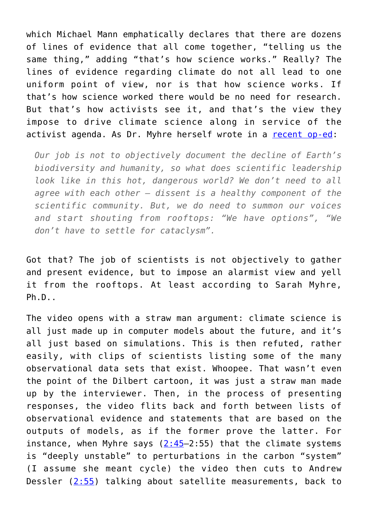which Michael Mann emphatically declares that there are dozens of lines of evidence that all come together, "telling us the same thing," adding "that's how science works." Really? The lines of evidence regarding climate do not all lead to one uniform point of view, nor is that how science works. If that's how science worked there would be no need for research. But that's how activists see it, and that's the view they impose to drive climate science along in service of the activist agenda. As Dr. Myhre herself wrote in a [recent op-ed](https://www.theguardian.com/environment/climate-consensus-97-per-cent/2016/may/19/climate-scientists-mourning-earths-losses-should-make-their-voices-heard?CMP=twt_a-environment_b-gdneco):

*Our job is not to objectively document the decline of Earth's biodiversity and humanity, so what does scientific leadership look like in this hot, dangerous world? We don't need to all agree with each other – dissent is a healthy component of the scientific community. But, we do need to summon our voices and start shouting from rooftops: "We have options", "We don't have to settle for cataclysm".*

Got that? The job of scientists is not objectively to gather and present evidence, but to impose an alarmist view and yell it from the rooftops. At least according to Sarah Myhre, Ph.D..

The video opens with a straw man argument: climate science is all just made up in computer models about the future, and it's all just based on simulations. This is then refuted, rather easily, with clips of scientists listing some of the many observational data sets that exist. Whoopee. That wasn't even the point of the Dilbert cartoon, it was just a straw man made up by the interviewer. Then, in the process of presenting responses, the video flits back and forth between lists of observational evidence and statements that are based on the outputs of models, as if the former prove the latter. For instance, when Myhre says  $(2:45-2:55)$  that the climate systems is "deeply unstable" to perturbations in the carbon "system" (I assume she meant cycle) the video then cuts to Andrew Dessler  $(2:55)$  $(2:55)$  talking about satellite measurements, back to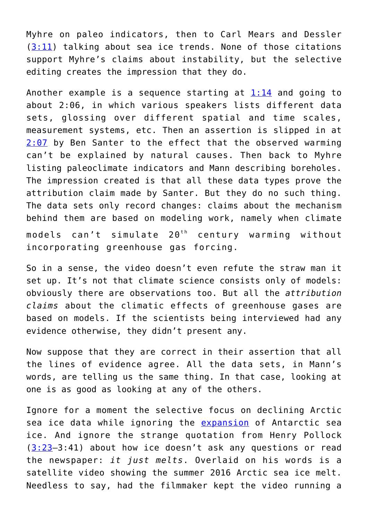Myhre on paleo indicators, then to Carl Mears and Dessler  $(3:11)$  $(3:11)$  talking about sea ice trends. None of those citations support Myhre's claims about instability, but the selective editing creates the impression that they do.

Another example is a sequence starting at  $1:14$  and going to about 2:06, in which various speakers lists different data sets, glossing over different spatial and time scales, measurement systems, etc. Then an assertion is slipped in at [2:07](https://youtu.be/ZY-pO_zTVvU?t=127) by Ben Santer to the effect that the observed warming can't be explained by natural causes. Then back to Myhre listing paleoclimate indicators and Mann describing boreholes. The impression created is that all these data types prove the attribution claim made by Santer. But they do no such thing. The data sets only record changes: claims about the mechanism behind them are based on modeling work, namely when climate models can't simulate  $20<sup>th</sup>$  century warming without incorporating greenhouse gas forcing.

So in a sense, the video doesn't even refute the straw man it set up. It's not that climate science consists only of models: obviously there are observations too. But all the *attribution claims* about the climatic effects of greenhouse gases are based on models. If the scientists being interviewed had any evidence otherwise, they didn't present any.

Now suppose that they are correct in their assertion that all the lines of evidence agree. All the data sets, in Mann's words, are telling us the same thing. In that case, looking at one is as good as looking at any of the others.

Ignore for a moment the selective focus on declining Arctic sea ice data while ignoring the [expansion](http://nsidc.org/data/seaice_index/index.html) of Antarctic sea ice. And ignore the strange quotation from Henry Pollock  $(3:23-3:41)$  $(3:23-3:41)$  $(3:23-3:41)$  about how ice doesn't ask any questions or read the newspaper: *it just melts*. Overlaid on his words is a satellite video showing the summer 2016 Arctic sea ice melt. Needless to say, had the filmmaker kept the video running a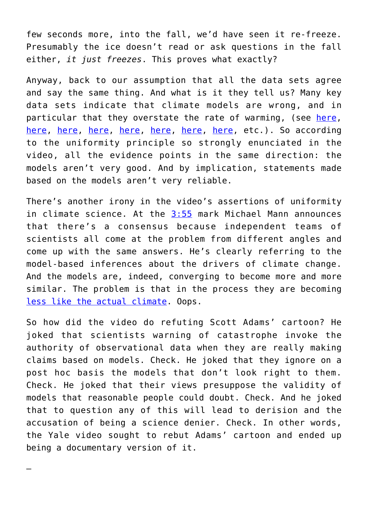few seconds more, into the fall, we'd have seen it re-freeze. Presumably the ice doesn't read or ask questions in the fall either, *it just freezes*. This proves what exactly?

Anyway, back to our assumption that all the data sets agree and say the same thing. And what is it they tell us? Many key data sets indicate that climate models are wrong, and in particular that they overstate the rate of warming, (see [here,](http://www.nature.com/nclimate/journal/v3/n9/abs/nclimate1972.html) [here,](http://www.sciencedirect.com/science/article/pii/S0169207011000604) [here](https://science.house.gov/sites/republicans.science.house.gov/files/documents/HHRG-115-SY-WState-JChristy-20170329.pdf), [here](http://www.tandfonline.com/doi/abs/10.1623/hysj.53.4.671), here, here, here, here, etc.). So according to the uniformity principle so strongly enunciated in the video, all the evidence points in the same direction: the models aren't very good. And by implication, statements made based on the models aren't very reliable.

There's another irony in the video's assertions of uniformity in climate science. At the  $3:55$  mark Michael Mann announces that there's a consensus because independent teams of scientists all come at the problem from different angles and come up with the same answers. He's clearly referring to the model-based inferences about the drivers of climate change. And the models are, indeed, converging to become more and more similar. The problem is that in the process they are becoming [less like the actual climate](http://onlinelibrary.wiley.com/doi/10.1002/grl.50562/full). Oops.

So how did the video do refuting Scott Adams' cartoon? He joked that scientists warning of catastrophe invoke the authority of observational data when they are really making claims based on models. Check. He joked that they ignore on a post hoc basis the models that don't look right to them. Check. He joked that their views presuppose the validity of models that reasonable people could doubt. Check. And he joked that to question any of this will lead to derision and the accusation of being a science denier. Check. In other words, the Yale video sought to rebut Adams' cartoon and ended up being a documentary version of it.

—